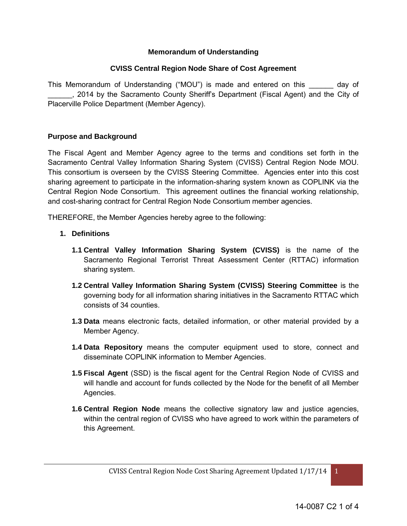### **Memorandum of Understanding**

#### **CVISS Central Region Node Share of Cost Agreement**

This Memorandum of Understanding ("MOU") is made and entered on this \_\_\_\_\_\_ day of \_\_\_\_\_\_, 2014 by the Sacramento County Sheriff's Department (Fiscal Agent) and the City of Placerville Police Department (Member Agency).

#### **Purpose and Background**

The Fiscal Agent and Member Agency agree to the terms and conditions set forth in the Sacramento Central Valley Information Sharing System (CVISS) Central Region Node MOU. This consortium is overseen by the CVISS Steering Committee. Agencies enter into this cost sharing agreement to participate in the information-sharing system known as COPLINK via the Central Region Node Consortium. This agreement outlines the financial working relationship, and cost-sharing contract for Central Region Node Consortium member agencies.

THEREFORE, the Member Agencies hereby agree to the following:

- **1. Definitions**
	- **1.1 Central Valley Information Sharing System (CVISS)** is the name of the Sacramento Regional Terrorist Threat Assessment Center (RTTAC) information sharing system.
	- **1.2 Central Valley Information Sharing System (CVISS) Steering Committee** is the governing body for all information sharing initiatives in the Sacramento RTTAC which consists of 34 counties.
	- **1.3 Data** means electronic facts, detailed information, or other material provided by a Member Agency.
	- **1.4 Data Repository** means the computer equipment used to store, connect and disseminate COPLINK information to Member Agencies.
	- **1.5 Fiscal Agent** (SSD) is the fiscal agent for the Central Region Node of CVISS and will handle and account for funds collected by the Node for the benefit of all Member Agencies.
	- **1.6 Central Region Node** means the collective signatory law and justice agencies, within the central region of CVISS who have agreed to work within the parameters of this Agreement.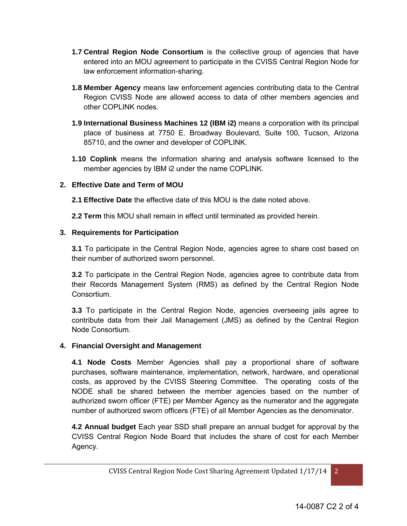- **1.7 Central Region Node Consortium** is the collective group of agencies that have entered into an MOU agreement to participate in the CVISS Central Region Node for law enforcement information-sharing.
- **1.8 Member Agency** means law enforcement agencies contributing data to the Central Region CVISS Node are allowed access to data of other members agencies and other COPLINK nodes.
- **1.9 International Business Machines 12 (IBM i2)** means a corporation with its principal place of business at 7750 E. Broadway Boulevard, Suite 100, Tucson, Arizona 85710, and the owner and developer of COPLINK.
- **1.10 Coplink** means the information sharing and analysis software licensed to the member agencies by IBM i2 under the name COPLINK.

# **2. Effective Date and Term of MOU**

- **2.1 Effective Date** the effective date of this MOU is the date noted above.
- **2.2 Term** this MOU shall remain in effect until terminated as provided herein.

# **3. Requirements for Participation**

**3.1** To participate in the Central Region Node, agencies agree to share cost based on their number of authorized sworn personnel.

**3.2** To participate in the Central Region Node, agencies agree to contribute data from their Records Management System (RMS) as defined by the Central Region Node Consortium.

**3.3** To participate in the Central Region Node, agencies overseeing jails agree to contribute data from their Jail Management (JMS) as defined by the Central Region Node Consortium.

## **4. Financial Oversight and Management**

 **4.1 Node Costs** Member Agencies shall pay a proportional share of software purchases, software maintenance, implementation, network, hardware, and operational costs, as approved by the CVISS Steering Committee. The operating costs of the NODE shall be shared between the member agencies based on the number of authorized sworn officer (FTE) per Member Agency as the numerator and the aggregate number of authorized sworn officers (FTE) of all Member Agencies as the denominator.

 **4.2 Annual budget** Each year SSD shall prepare an annual budget for approval by the CVISS Central Region Node Board that includes the share of cost for each Member Agency.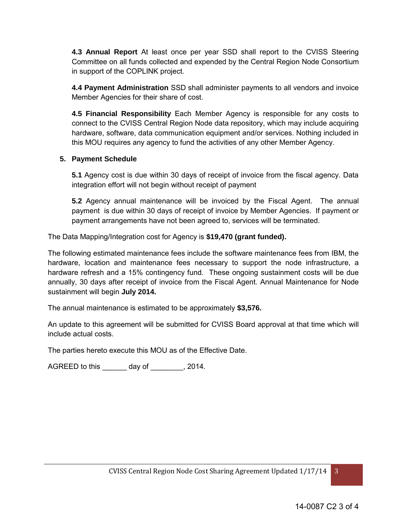**4.3 Annual Report** At least once per year SSD shall report to the CVISS Steering Committee on all funds collected and expended by the Central Region Node Consortium in support of the COPLINK project.

**4.4 Payment Administration** SSD shall administer payments to all vendors and invoice Member Agencies for their share of cost.

**4.5 Financial Responsibility** Each Member Agency is responsible for any costs to connect to the CVISS Central Region Node data repository, which may include acquiring hardware, software, data communication equipment and/or services. Nothing included in this MOU requires any agency to fund the activities of any other Member Agency.

## **5. Payment Schedule**

**5.1** Agency cost is due within 30 days of receipt of invoice from the fiscal agency. Data integration effort will not begin without receipt of payment

**5.2** Agency annual maintenance will be invoiced by the Fiscal Agent. The annual payment is due within 30 days of receipt of invoice by Member Agencies. If payment or payment arrangements have not been agreed to, services will be terminated.

The Data Mapping/Integration cost for Agency is **\$19,470 (grant funded).** 

The following estimated maintenance fees include the software maintenance fees from IBM, the hardware, location and maintenance fees necessary to support the node infrastructure, a hardware refresh and a 15% contingency fund. These ongoing sustainment costs will be due annually, 30 days after receipt of invoice from the Fiscal Agent. Annual Maintenance for Node sustainment will begin **July 2014.** 

The annual maintenance is estimated to be approximately **\$3,576.** 

An update to this agreement will be submitted for CVISS Board approval at that time which will include actual costs.

The parties hereto execute this MOU as of the Effective Date.

AGREED to this \_\_\_\_\_\_ day of \_\_\_\_\_\_\_\_, 2014.